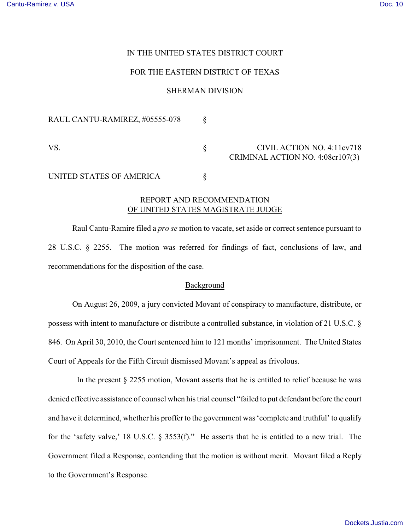## IN THE UNITED STATES DISTRICT COURT

## FOR THE EASTERN DISTRICT OF TEXAS

### SHERMAN DIVISION

| RAUL CANTU-RAMIREZ, #05555-078 |                                                                |
|--------------------------------|----------------------------------------------------------------|
| VS.                            | CIVIL ACTION NO. 4:11cv718<br>CRIMINAL ACTION NO. 4:08cr107(3) |
| UNITED STATES OF AMERICA       |                                                                |

# REPORT AND RECOMMENDATION OF UNITED STATES MAGISTRATE JUDGE

Raul Cantu-Ramire filed a *pro se* motion to vacate, set aside or correct sentence pursuant to 28 U.S.C. § 2255. The motion was referred for findings of fact, conclusions of law, and recommendations for the disposition of the case.

#### Background

On August 26, 2009, a jury convicted Movant of conspiracy to manufacture, distribute, or possess with intent to manufacture or distribute a controlled substance, in violation of 21 U.S.C. § 846. On April 30, 2010, the Court sentenced him to 121 months' imprisonment. The United States Court of Appeals for the Fifth Circuit dismissed Movant's appeal as frivolous.

In the present  $\S$  2255 motion, Movant asserts that he is entitled to relief because he was denied effective assistance of counsel when his trial counsel "failed to put defendant before the court and have it determined, whether his proffer to the government was 'complete and truthful' to qualify for the 'safety valve,' 18 U.S.C. § 3553(f)." He asserts that he is entitled to a new trial. The Government filed a Response, contending that the motion is without merit. Movant filed a Reply to the Government's Response.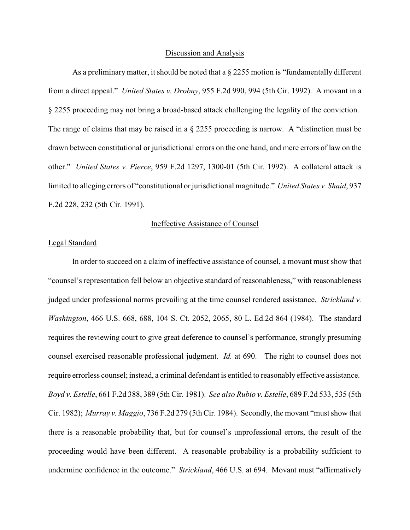#### Discussion and Analysis

As a preliminary matter, it should be noted that a  $\S$  2255 motion is "fundamentally different from a direct appeal." *United States v. Drobny*, 955 F.2d 990, 994 (5th Cir. 1992). A movant in a § 2255 proceeding may not bring a broad-based attack challenging the legality of the conviction. The range of claims that may be raised in a § 2255 proceeding is narrow. A "distinction must be drawn between constitutional or jurisdictional errors on the one hand, and mere errors of law on the other." *United States v. Pierce*, 959 F.2d 1297, 1300-01 (5th Cir. 1992). A collateral attack is limited to alleging errors of "constitutional or jurisdictional magnitude." *United States v. Shaid*, 937 F.2d 228, 232 (5th Cir. 1991).

### Ineffective Assistance of Counsel

# Legal Standard

In order to succeed on a claim of ineffective assistance of counsel, a movant must show that "counsel's representation fell below an objective standard of reasonableness," with reasonableness judged under professional norms prevailing at the time counsel rendered assistance. *Strickland v. Washington*, 466 U.S. 668, 688, 104 S. Ct. 2052, 2065, 80 L. Ed.2d 864 (1984). The standard requires the reviewing court to give great deference to counsel's performance, strongly presuming counsel exercised reasonable professional judgment. *Id.* at 690. The right to counsel does not require errorless counsel; instead, a criminal defendant is entitled to reasonably effective assistance. *Boyd v. Estelle*, 661 F.2d 388, 389 (5th Cir. 1981). *See also Rubio v. Estelle*, 689 F.2d 533, 535 (5th Cir. 1982); *Murray v. Maggio*, 736 F.2d 279 (5th Cir. 1984). Secondly, the movant "must show that there is a reasonable probability that, but for counsel's unprofessional errors, the result of the proceeding would have been different. A reasonable probability is a probability sufficient to undermine confidence in the outcome." *Strickland*, 466 U.S. at 694. Movant must "affirmatively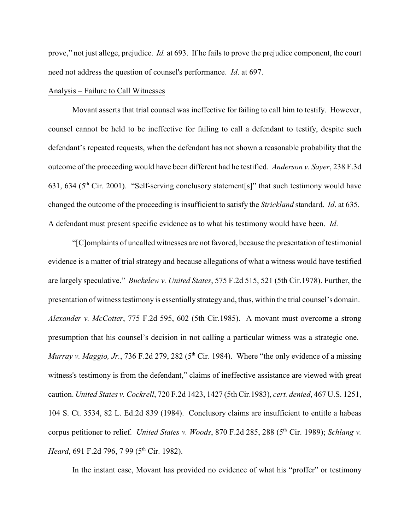prove," not just allege, prejudice. *Id.* at 693. If he fails to prove the prejudice component, the court need not address the question of counsel's performance. *Id*. at 697.

## Analysis – Failure to Call Witnesses

Movant asserts that trial counsel was ineffective for failing to call him to testify. However, counsel cannot be held to be ineffective for failing to call a defendant to testify, despite such defendant's repeated requests, when the defendant has not shown a reasonable probability that the outcome of the proceeding would have been different had he testified. *Anderson v. Sayer*, 238 F.3d 631, 634 ( $5<sup>th</sup>$  Cir. 2001). "Self-serving conclusory statement[s]" that such testimony would have changed the outcome of the proceeding is insufficient to satisfy the *Strickland* standard. *Id*. at 635. A defendant must present specific evidence as to what his testimony would have been. *Id*.

"[C]omplaints of uncalled witnesses are not favored, because the presentation of testimonial evidence is a matter of trial strategy and because allegations of what a witness would have testified are largely speculative." *Buckelew v. United States*, 575 F.2d 515, 521 (5th Cir.1978). Further, the presentation of witness testimony is essentially strategy and, thus, within the trial counsel's domain. *Alexander v. McCotter*, 775 F.2d 595, 602 (5th Cir.1985). A movant must overcome a strong presumption that his counsel's decision in not calling a particular witness was a strategic one. *Murray v. Maggio, Jr.*, 736 F.2d 279, 282 ( $5<sup>th</sup>$  Cir. 1984). Where "the only evidence of a missing witness's testimony is from the defendant," claims of ineffective assistance are viewed with great caution. *United States v. Cockrell*, 720 F.2d 1423, 1427 (5th Cir.1983), *cert. denied*, 467 U.S. 1251, 104 S. Ct. 3534, 82 L. Ed.2d 839 (1984). Conclusory claims are insufficient to entitle a habeas corpus petitioner to relief. *United States v. Woods*, 870 F.2d 285, 288 (5<sup>th</sup> Cir. 1989); *Schlang v. Heard*, 691 F.2d 796, 7 99 (5<sup>th</sup> Cir. 1982).

In the instant case, Movant has provided no evidence of what his "proffer" or testimony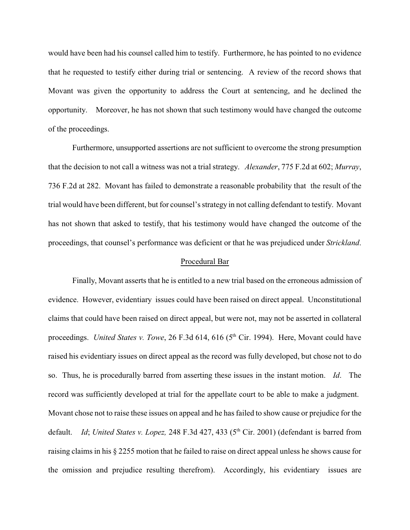would have been had his counsel called him to testify. Furthermore, he has pointed to no evidence that he requested to testify either during trial or sentencing. A review of the record shows that Movant was given the opportunity to address the Court at sentencing, and he declined the opportunity. Moreover, he has not shown that such testimony would have changed the outcome of the proceedings.

Furthermore, unsupported assertions are not sufficient to overcome the strong presumption that the decision to not call a witness was not a trial strategy. *Alexander*, 775 F.2d at 602; *Murray*, 736 F.2d at 282. Movant has failed to demonstrate a reasonable probability that the result of the trial would have been different, but for counsel's strategy in not calling defendant to testify. Movant has not shown that asked to testify, that his testimony would have changed the outcome of the proceedings, that counsel's performance was deficient or that he was prejudiced under *Strickland*.

### Procedural Bar

Finally, Movant asserts that he is entitled to a new trial based on the erroneous admission of evidence. However, evidentiary issues could have been raised on direct appeal. Unconstitutional claims that could have been raised on direct appeal, but were not, may not be asserted in collateral proceedings. *United States v. Towe*, 26 F.3d 614, 616 (5<sup>th</sup> Cir. 1994). Here, Movant could have raised his evidentiary issues on direct appeal as the record was fully developed, but chose not to do so. Thus, he is procedurally barred from asserting these issues in the instant motion. *Id*. The record was sufficiently developed at trial for the appellate court to be able to make a judgment. Movant chose not to raise these issues on appeal and he has failed to show cause or prejudice for the default. *Id*; *United States v. Lopez*, 248 F.3d 427, 433 (5<sup>th</sup> Cir. 2001) (defendant is barred from raising claims in his § 2255 motion that he failed to raise on direct appeal unless he shows cause for the omission and prejudice resulting therefrom). Accordingly, his evidentiary issues are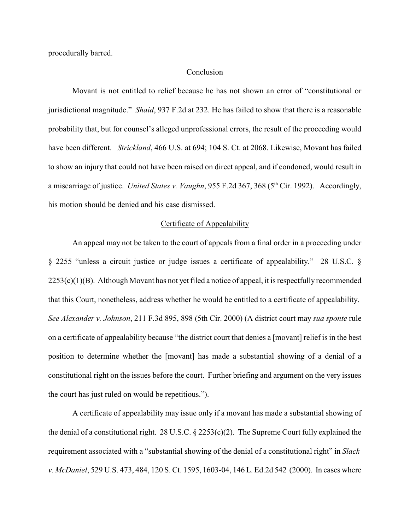procedurally barred.

#### Conclusion

Movant is not entitled to relief because he has not shown an error of "constitutional or jurisdictional magnitude." *Shaid*, 937 F.2d at 232. He has failed to show that there is a reasonable probability that, but for counsel's alleged unprofessional errors, the result of the proceeding would have been different. *Strickland*, 466 U.S. at 694; 104 S. Ct. at 2068. Likewise, Movant has failed to show an injury that could not have been raised on direct appeal, and if condoned, would result in a miscarriage of justice. *United States v. Vaughn*, 955 F.2d 367, 368 (5<sup>th</sup> Cir. 1992). Accordingly, his motion should be denied and his case dismissed.

### Certificate of Appealability

An appeal may not be taken to the court of appeals from a final order in a proceeding under § 2255 "unless a circuit justice or judge issues a certificate of appealability." 28 U.S.C. §  $2253(c)(1)(B)$ . Although Movant has not yet filed a notice of appeal, it is respectfully recommended that this Court, nonetheless, address whether he would be entitled to a certificate of appealability. *See Alexander v. Johnson*, 211 F.3d 895, 898 (5th Cir. 2000) (A district court may *sua sponte* rule on a certificate of appealability because "the district court that denies a [movant] relief is in the best position to determine whether the [movant] has made a substantial showing of a denial of a constitutional right on the issues before the court. Further briefing and argument on the very issues the court has just ruled on would be repetitious.").

A certificate of appealability may issue only if a movant has made a substantial showing of the denial of a constitutional right. 28 U.S.C. § 2253(c)(2). The Supreme Court fully explained the requirement associated with a "substantial showing of the denial of a constitutional right" in *Slack v. McDaniel*, 529 U.S. 473, 484, 120 S. Ct. 1595, 1603-04, 146 L. Ed.2d 542 (2000). In cases where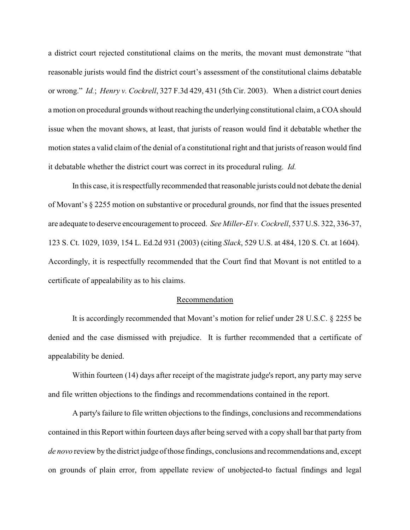a district court rejected constitutional claims on the merits, the movant must demonstrate "that reasonable jurists would find the district court's assessment of the constitutional claims debatable or wrong." *Id.*; *Henry v. Cockrell*, 327 F.3d 429, 431 (5th Cir. 2003). When a district court denies a motion on procedural grounds without reaching the underlying constitutional claim, a COA should issue when the movant shows, at least, that jurists of reason would find it debatable whether the motion states a valid claim of the denial of a constitutional right and that jurists of reason would find it debatable whether the district court was correct in its procedural ruling. *Id.*

In this case, it is respectfully recommended that reasonable jurists could not debate the denial of Movant's § 2255 motion on substantive or procedural grounds, nor find that the issues presented are adequate to deserve encouragement to proceed. *See Miller-El v. Cockrell*, 537 U.S. 322, 336-37, 123 S. Ct. 1029, 1039, 154 L. Ed.2d 931 (2003) (citing *Slack*, 529 U.S. at 484, 120 S. Ct. at 1604). Accordingly, it is respectfully recommended that the Court find that Movant is not entitled to a certificate of appealability as to his claims.

### Recommendation

It is accordingly recommended that Movant's motion for relief under 28 U.S.C. § 2255 be denied and the case dismissed with prejudice. It is further recommended that a certificate of appealability be denied.

Within fourteen (14) days after receipt of the magistrate judge's report, any party may serve and file written objections to the findings and recommendations contained in the report.

A party's failure to file written objections to the findings, conclusions and recommendations contained in this Report within fourteen days after being served with a copy shall bar that party from *de novo* review by the district judge of those findings, conclusions and recommendations and, except on grounds of plain error, from appellate review of unobjected-to factual findings and legal